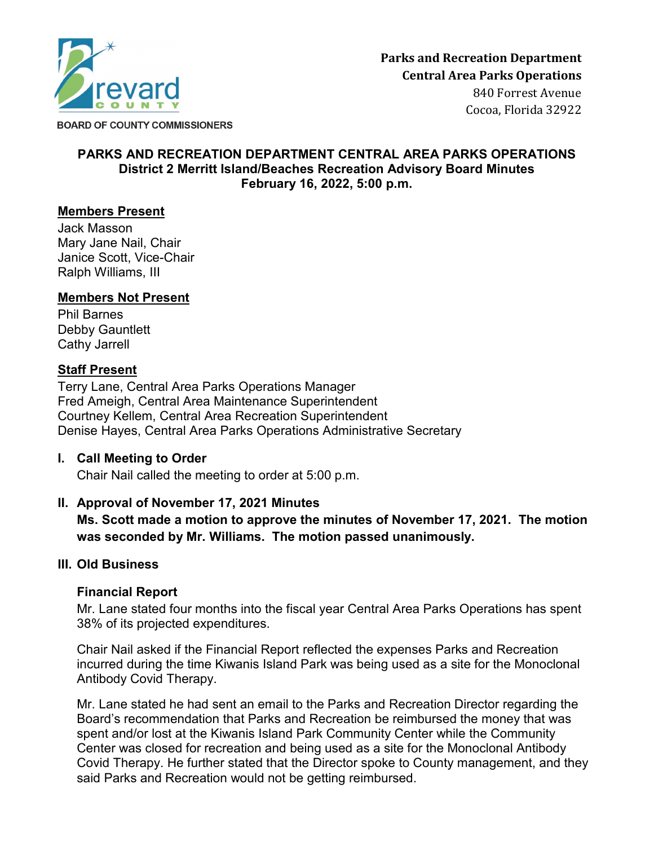

**BOARD OF COUNTY COMMISSIONERS** 

### **PARKS AND RECREATION DEPARTMENT CENTRAL AREA PARKS OPERATIONS District 2 Merritt Island/Beaches Recreation Advisory Board Minutes February 16, 2022, 5:00 p.m.**

### **Members Present**

Jack Masson Mary Jane Nail, Chair Janice Scott, Vice-Chair Ralph Williams, III

### **Members Not Present**

Phil Barnes Debby Gauntlett Cathy Jarrell

### **Staff Present**

Terry Lane, Central Area Parks Operations Manager Fred Ameigh, Central Area Maintenance Superintendent Courtney Kellem, Central Area Recreation Superintendent Denise Hayes, Central Area Parks Operations Administrative Secretary

### **I. Call Meeting to Order**

Chair Nail called the meeting to order at 5:00 p.m.

## **II. Approval of November 17, 2021 Minutes**

**Ms. Scott made a motion to approve the minutes of November 17, 2021. The motion was seconded by Mr. Williams. The motion passed unanimously.**

### **III. Old Business**

## **Financial Report**

Mr. Lane stated four months into the fiscal year Central Area Parks Operations has spent 38% of its projected expenditures.

Chair Nail asked if the Financial Report reflected the expenses Parks and Recreation incurred during the time Kiwanis Island Park was being used as a site for the Monoclonal Antibody Covid Therapy.

Mr. Lane stated he had sent an email to the Parks and Recreation Director regarding the Board's recommendation that Parks and Recreation be reimbursed the money that was spent and/or lost at the Kiwanis Island Park Community Center while the Community Center was closed for recreation and being used as a site for the Monoclonal Antibody Covid Therapy. He further stated that the Director spoke to County management, and they said Parks and Recreation would not be getting reimbursed.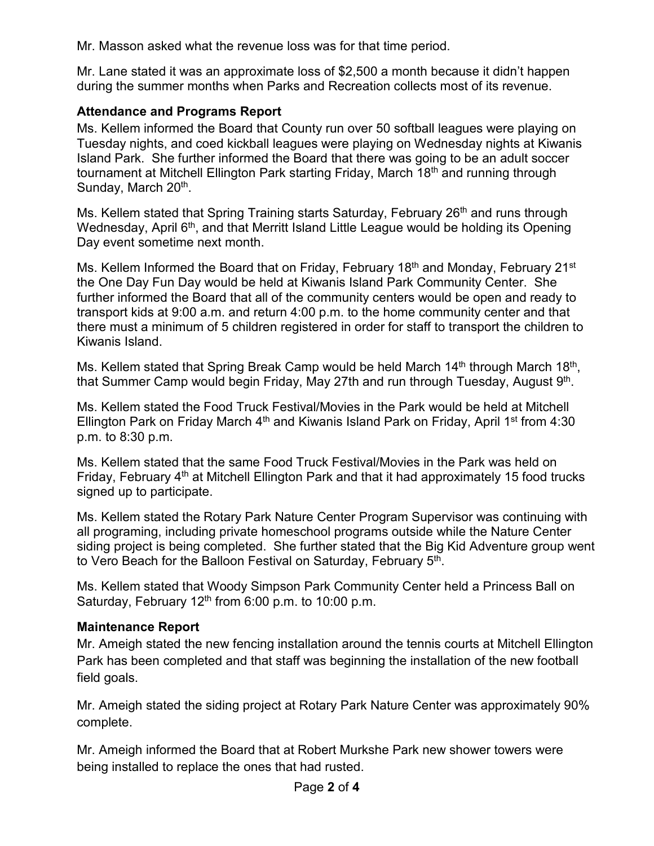Mr. Masson asked what the revenue loss was for that time period.

Mr. Lane stated it was an approximate loss of \$2,500 a month because it didn't happen during the summer months when Parks and Recreation collects most of its revenue.

## **Attendance and Programs Report**

Ms. Kellem informed the Board that County run over 50 softball leagues were playing on Tuesday nights, and coed kickball leagues were playing on Wednesday nights at Kiwanis Island Park. She further informed the Board that there was going to be an adult soccer tournament at Mitchell Ellington Park starting Friday, March 18<sup>th</sup> and running through Sunday, March 20<sup>th</sup>.

Ms. Kellem stated that Spring Training starts Saturday, February 26<sup>th</sup> and runs through Wednesday, April 6<sup>th</sup>, and that Merritt Island Little League would be holding its Opening Day event sometime next month.

Ms. Kellem Informed the Board that on Friday, February 18<sup>th</sup> and Monday, February 21<sup>st</sup> the One Day Fun Day would be held at Kiwanis Island Park Community Center. She further informed the Board that all of the community centers would be open and ready to transport kids at 9:00 a.m. and return 4:00 p.m. to the home community center and that there must a minimum of 5 children registered in order for staff to transport the children to Kiwanis Island.

Ms. Kellem stated that Spring Break Camp would be held March 14<sup>th</sup> through March 18<sup>th</sup>, that Summer Camp would begin Friday, May 27th and run through Tuesday, August 9<sup>th</sup>.

Ms. Kellem stated the Food Truck Festival/Movies in the Park would be held at Mitchell Ellington Park on Friday March  $4<sup>th</sup>$  and Kiwanis Island Park on Friday, April 1<sup>st</sup> from 4:30 p.m. to 8:30 p.m.

Ms. Kellem stated that the same Food Truck Festival/Movies in the Park was held on Friday, February  $4<sup>th</sup>$  at Mitchell Ellington Park and that it had approximately 15 food trucks signed up to participate.

Ms. Kellem stated the Rotary Park Nature Center Program Supervisor was continuing with all programing, including private homeschool programs outside while the Nature Center siding project is being completed. She further stated that the Big Kid Adventure group went to Vero Beach for the Balloon Festival on Saturday, February 5<sup>th</sup>.

Ms. Kellem stated that Woody Simpson Park Community Center held a Princess Ball on Saturday, February  $12<sup>th</sup>$  from 6:00 p.m. to 10:00 p.m.

## **Maintenance Report**

Mr. Ameigh stated the new fencing installation around the tennis courts at Mitchell Ellington Park has been completed and that staff was beginning the installation of the new football field goals.

Mr. Ameigh stated the siding project at Rotary Park Nature Center was approximately 90% complete.

Mr. Ameigh informed the Board that at Robert Murkshe Park new shower towers were being installed to replace the ones that had rusted.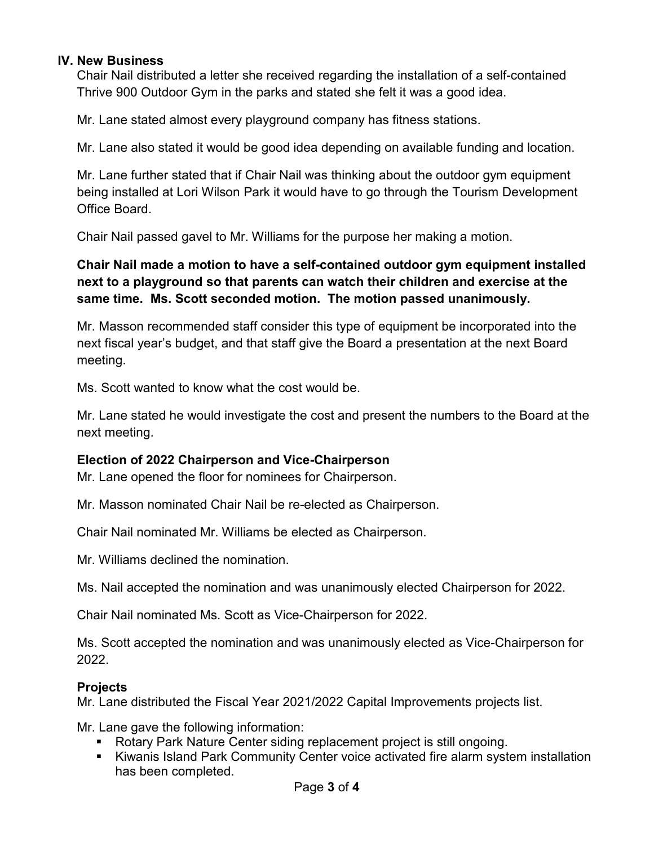### **IV. New Business**

Chair Nail distributed a letter she received regarding the installation of a self-contained Thrive 900 Outdoor Gym in the parks and stated she felt it was a good idea.

Mr. Lane stated almost every playground company has fitness stations.

Mr. Lane also stated it would be good idea depending on available funding and location.

Mr. Lane further stated that if Chair Nail was thinking about the outdoor gym equipment being installed at Lori Wilson Park it would have to go through the Tourism Development Office Board.

Chair Nail passed gavel to Mr. Williams for the purpose her making a motion.

# **Chair Nail made a motion to have a self-contained outdoor gym equipment installed next to a playground so that parents can watch their children and exercise at the same time. Ms. Scott seconded motion. The motion passed unanimously.**

Mr. Masson recommended staff consider this type of equipment be incorporated into the next fiscal year's budget, and that staff give the Board a presentation at the next Board meeting.

Ms. Scott wanted to know what the cost would be.

Mr. Lane stated he would investigate the cost and present the numbers to the Board at the next meeting.

## **Election of 2022 Chairperson and Vice-Chairperson**

Mr. Lane opened the floor for nominees for Chairperson.

Mr. Masson nominated Chair Nail be re-elected as Chairperson.

Chair Nail nominated Mr. Williams be elected as Chairperson.

Mr. Williams declined the nomination.

Ms. Nail accepted the nomination and was unanimously elected Chairperson for 2022.

Chair Nail nominated Ms. Scott as Vice-Chairperson for 2022.

Ms. Scott accepted the nomination and was unanimously elected as Vice-Chairperson for 2022.

## **Projects**

Mr. Lane distributed the Fiscal Year 2021/2022 Capital Improvements projects list.

Mr. Lane gave the following information:

- Rotary Park Nature Center siding replacement project is still ongoing.
- Kiwanis Island Park Community Center voice activated fire alarm system installation has been completed.